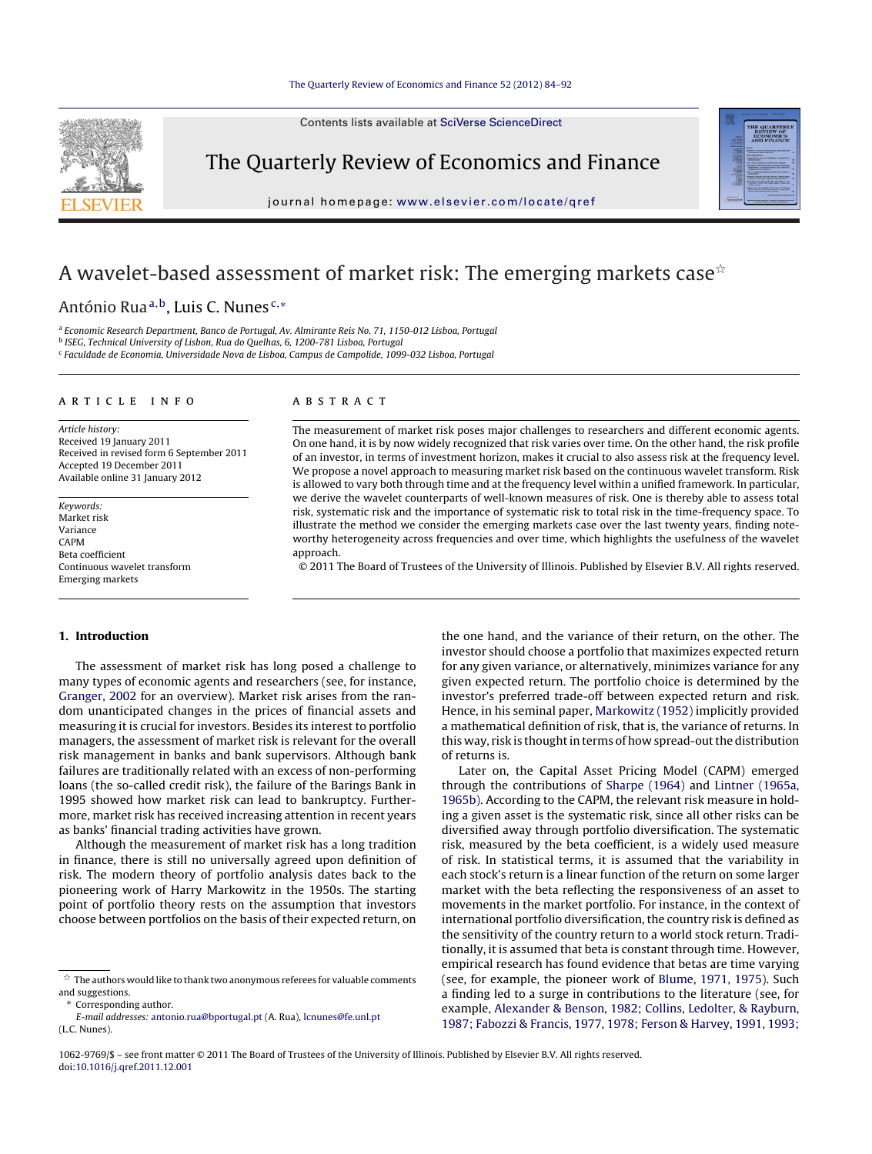Contents lists available at SciVerse [ScienceDirect](http://www.sciencedirect.com/science/journal/10629769)



The Quarterly Review of Economics and Finance

journal homepage: [www.elsevier.com/locate/qref](http://www.elsevier.com/locate/qref)

## A wavelet-based assessment of market risk: The emerging markets case $^{\scriptscriptstyle\mathrm{\'et}}$

### António Rua<sup>a, b</sup>, Luis C. Nunes<sup>c,\*</sup>

<sup>a</sup> Economic Research Department, Banco de Portugal, Av. Almirante Reis No. 71, 1150-012 Lisboa, Portugal

<sup>b</sup> ISEG, Technical University of Lisbon, Rua do Quelhas, 6, 1200-781 Lisboa, Portugal

<sup>c</sup> Faculdade de Economia, Universidade Nova de Lisboa, Campus de Campolide, 1099-032 Lisboa, Portugal

#### a r t i c l e i n f o

Article history: Received 19 January 2011 Received in revised form 6 September 2011 Accepted 19 December 2011 Available online 31 January 2012

Keywords: Market risk Variance CAPM Beta coefficient Continuous wavelet transform Emerging markets

#### a b s t r a c t

The measurement of market risk poses major challenges to researchers and different economic agents. On one hand, it is by now widely recognized that risk varies over time. On the other hand, the risk profile of an investor, in terms of investment horizon, makes it crucial to also assess risk at the frequency level. We propose a novel approach to measuring market risk based on the continuous wavelet transform. Risk is allowed to vary both through time and at the frequency level within a unified framework. In particular, we derive the wavelet counterparts of well-known measures of risk. One is thereby able to assess total risk, systematic risk and the importance of systematic risk to total risk in the time-frequency space. To illustrate the method we consider the emerging markets case over the last twenty years, finding noteworthy heterogeneity across frequencies and over time, which highlights the usefulness of the wavelet approach.

© 2011 The Board of Trustees of the University of Illinois. Published by Elsevier B.V. All rights reserved.

#### **1. Introduction**

The assessment of market risk has long posed a challenge to many types of economic agents and researchers (see, for instance, [Granger,](#page--1-0) [2002](#page--1-0) for an overview). Market risk arises from the random unanticipated changes in the prices of financial assets and measuring it is crucial for investors. Besides its interest to portfolio managers, the assessment of market risk is relevant for the overall risk management in banks and bank supervisors. Although bank failures are traditionally related with an excess of non-performing loans (the so-called credit risk), the failure of the Barings Bank in 1995 showed how market risk can lead to bankruptcy. Furthermore, market risk has received increasing attention in recent years as banks' financial trading activities have grown.

Although the measurement of market risk has a long tradition in finance, there is still no universally agreed upon definition of risk. The modern theory of portfolio analysis dates back to the pioneering work of Harry Markowitz in the 1950s. The starting point of portfolio theory rests on the assumption that investors choose between portfolios on the basis of their expected return, on the one hand, and the variance of their return, on the other. The investor should choose a portfolio that maximizes expected return for any given variance, or alternatively, minimizes variance for any given expected return. The portfolio choice is determined by the investor's preferred trade-off between expected return and risk. Hence, in his seminal paper, [Markowitz](#page--1-0) [\(1952\)](#page--1-0) implicitly provided a mathematical definition of risk, that is, the variance of returns. In this way, risk is thought in terms of how spread-out the distribution of returns is.

Later on, the Capital Asset Pricing Model (CAPM) emerged through the contributions of [Sharpe](#page--1-0) [\(1964\)](#page--1-0) and [Lintner](#page--1-0) [\(1965a,](#page--1-0) [1965b\).](#page--1-0) According to the CAPM, the relevant risk measure in holding a given asset is the systematic risk, since all other risks can be diversified away through portfolio diversification. The systematic risk, measured by the beta coefficient, is a widely used measure of risk. In statistical terms, it is assumed that the variability in each stock's return is a linear function of the return on some larger market with the beta reflecting the responsiveness of an asset to movements in the market portfolio. For instance, in the context of international portfolio diversification, the country risk is defined as the sensitivity of the country return to a world stock return. Traditionally, it is assumed that beta is constant through time. However, empirical research has found evidence that betas are time varying (see, for example, the pioneer work of [Blume,](#page--1-0) [1971,](#page--1-0) [1975\).](#page--1-0) Such a finding led to a surge in contributions to the literature (see, for example, [Alexander](#page--1-0) [&](#page--1-0) [Benson,](#page--1-0) [1982;](#page--1-0) [Collins,](#page--1-0) [Ledolter,](#page--1-0) [&](#page--1-0) [Rayburn,](#page--1-0) [1987;](#page--1-0) [Fabozzi](#page--1-0) [&](#page--1-0) [Francis,](#page--1-0) [1977,](#page--1-0) [1978;](#page--1-0) [Ferson](#page--1-0) [&](#page--1-0) [Harvey,](#page--1-0) [1991,](#page--1-0) [1993;](#page--1-0)

 $^\star \,$  The authors would like to thank two anonymous referees for valuable comments and suggestions.

<sup>∗</sup> Corresponding author.

E-mail addresses: [antonio.rua@bportugal.pt](mailto:antonio.rua@bportugal.pt) (A. Rua), [lcnunes@fe.unl.pt](mailto:lcnunes@fe.unl.pt) (L.C. Nunes).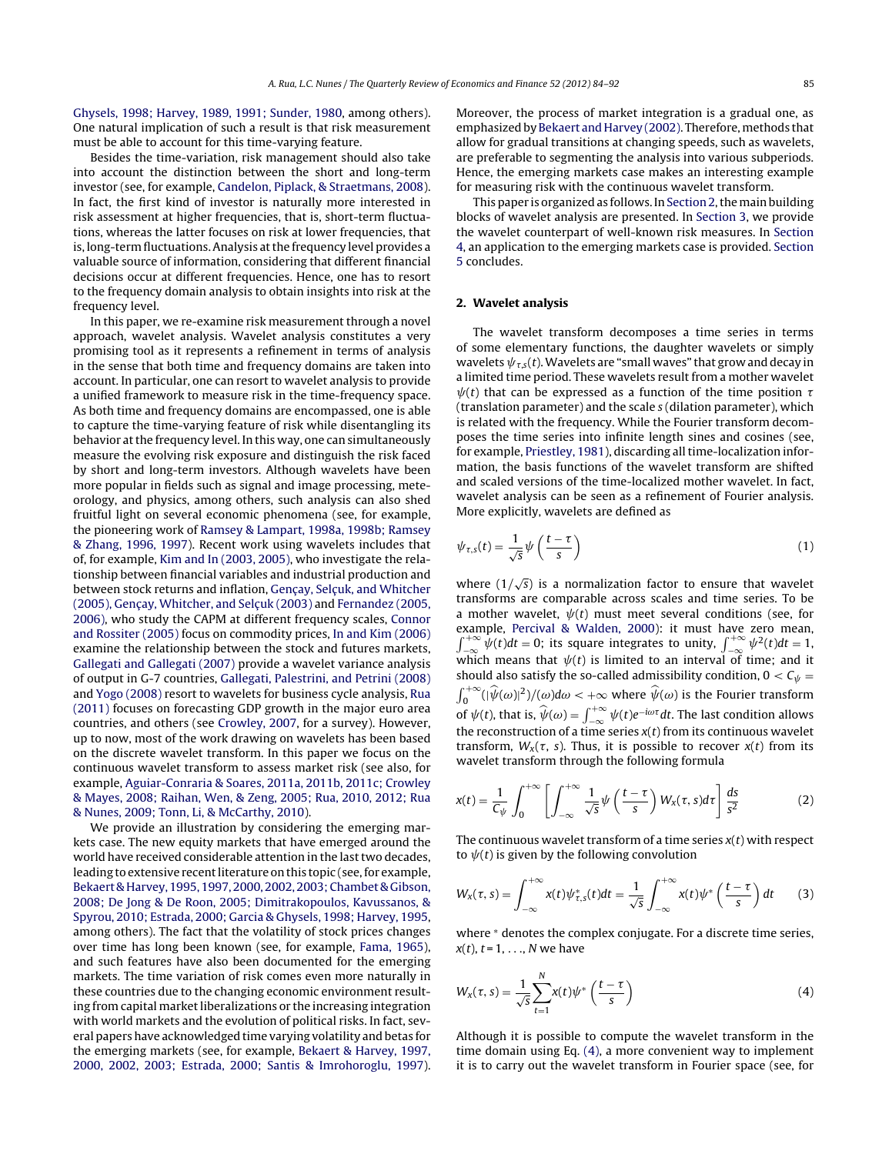[Ghysels,](#page--1-0) [1998;](#page--1-0) [Harvey,](#page--1-0) [1989,](#page--1-0) [1991;](#page--1-0) [Sunder,](#page--1-0) [1980,](#page--1-0) among others). One natural implication of such a result is that risk measurement must be able to account for this time-varying feature.

Besides the time-variation, risk management should also take into account the distinction between the short and long-term investor (see, for example, [Candelon,](#page--1-0) [Piplack,](#page--1-0) [&](#page--1-0) [Straetmans,](#page--1-0) [2008\).](#page--1-0) In fact, the first kind of investor is naturally more interested in risk assessment at higher frequencies, that is, short-term fluctuations, whereas the latter focuses on risk at lower frequencies, that is, long-term fluctuations.Analysis atthe frequency level provides a valuable source of information, considering that different financial decisions occur at different frequencies. Hence, one has to resort to the frequency domain analysis to obtain insights into risk at the frequency level.

In this paper, we re-examine risk measurement through a novel approach, wavelet analysis. Wavelet analysis constitutes a very promising tool as it represents a refinement in terms of analysis in the sense that both time and frequency domains are taken into account. In particular, one can resort to wavelet analysis to provide a unified framework to measure risk in the time-frequency space. As both time and frequency domains are encompassed, one is able to capture the time-varying feature of risk while disentangling its behavior at the frequency level. In this way, one can simultaneously measure the evolving risk exposure and distinguish the risk faced by short and long-term investors. Although wavelets have been more popular in fields such as signal and image processing, meteorology, and physics, among others, such analysis can also shed fruitful light on several economic phenomena (see, for example, the pioneering work of [Ramsey](#page--1-0) [&](#page--1-0) [Lampart,](#page--1-0) [1998a,](#page--1-0) [1998b;](#page--1-0) [Ramsey](#page--1-0) [&](#page--1-0) [Zhang,](#page--1-0) [1996,](#page--1-0) [1997\).](#page--1-0) Recent work using wavelets includes that of, for example, [Kim](#page--1-0) [and](#page--1-0) [In](#page--1-0) [\(2003,](#page--1-0) [2005\),](#page--1-0) who investigate the relationship between financial variables and industrial production and between stock returns [and](#page--1-0) inflation, Gençay, Selçuk, and [Whitcher](#page--1-0) [\(2005\),](#page--1-0) Gençay, [Whitcher,](#page--1-0) [and](#page--1-0) Selçuk [\(2003\)](#page--1-0) and [Fernandez](#page--1-0) [\(2005,](#page--1-0) [2006\),](#page--1-0) who study the CAPM at different frequency scales, [Connor](#page--1-0) [and](#page--1-0) [Rossiter](#page--1-0) [\(2005\)](#page--1-0) focus on commodity prices, [In](#page--1-0) [and](#page--1-0) [Kim](#page--1-0) [\(2006\)](#page--1-0) examine the relationship between the stock and futures markets, [Gallegati](#page--1-0) [and](#page--1-0) [Gallegati](#page--1-0) [\(2007\)](#page--1-0) provide a wavelet variance analysis of output in G-7 countries, [Gallegati,](#page--1-0) [Palestrini,](#page--1-0) [and](#page--1-0) [Petrini](#page--1-0) [\(2008\)](#page--1-0) and [Yogo](#page--1-0) [\(2008\)](#page--1-0) resort to wavelets for business cycle analysis, [Rua](#page--1-0) [\(2011\)](#page--1-0) focuses on forecasting GDP growth in the major euro area countries, and others (see [Crowley,](#page--1-0) [2007,](#page--1-0) for a survey). However, up to now, most of the work drawing on wavelets has been based on the discrete wavelet transform. In this paper we focus on the continuous wavelet transform to assess market risk (see also, for example, [Aguiar-Conraria](#page--1-0) [&](#page--1-0) [Soares,](#page--1-0) [2011a,](#page--1-0) [2011b,](#page--1-0) [2011c;](#page--1-0) [Crowley](#page--1-0) [&](#page--1-0) [Mayes,](#page--1-0) [2008;](#page--1-0) [Raihan,](#page--1-0) [Wen,](#page--1-0) [&](#page--1-0) [Zeng,](#page--1-0) [2005;](#page--1-0) [Rua,](#page--1-0) [2010,](#page--1-0) [2012;](#page--1-0) [Rua](#page--1-0) [&](#page--1-0) [Nunes,](#page--1-0) [2009;](#page--1-0) [Tonn,](#page--1-0) [Li,](#page--1-0) [&](#page--1-0) [McCarthy,](#page--1-0) [2010\).](#page--1-0)

We provide an illustration by considering the emerging markets case. The new equity markets that have emerged around the world have received considerable attention in the last two decades, leading to extensive recent literature on this topic (see, for example, [Bekaert](#page--1-0) [&Harvey,1995,1997,2000,2002,2003;Chambet](#page--1-0) [&](#page--1-0) [Gibson,](#page--1-0) [2008;](#page--1-0) [De](#page--1-0) [Jong](#page--1-0) [&](#page--1-0) [De](#page--1-0) [Roon,](#page--1-0) [2005;](#page--1-0) [Dimitrakopoulos,](#page--1-0) [Kavussanos,](#page--1-0) [&](#page--1-0) [Spyrou,](#page--1-0) [2010;](#page--1-0) [Estrada,](#page--1-0) [2000;](#page--1-0) [Garcia](#page--1-0) [&](#page--1-0) [Ghysels,](#page--1-0) [1998;](#page--1-0) [Harvey,](#page--1-0) [1995,](#page--1-0) among others). The fact that the volatility of stock prices changes over time has long been known (see, for example, [Fama,](#page--1-0) [1965\),](#page--1-0) and such features have also been documented for the emerging markets. The time variation of risk comes even more naturally in these countries due to the changing economic environment resulting from capital market liberalizations or the increasing integration with world markets and the evolution of political risks. In fact, several papers have acknowledged time varying volatility and betas for the emerging markets (see, for example, [Bekaert](#page--1-0) [&](#page--1-0) [Harvey,](#page--1-0) [1997,](#page--1-0) [2000,](#page--1-0) [2002,](#page--1-0) [2003;](#page--1-0) [Estrada,](#page--1-0) [2000;](#page--1-0) [Santis](#page--1-0) [&](#page--1-0) [Imrohoroglu,](#page--1-0) [1997\).](#page--1-0)

Moreover, the process of market integration is a gradual one, as emphasized by[Bekaert](#page--1-0) [and](#page--1-0) [Harvey](#page--1-0) [\(2002\).](#page--1-0) Therefore,methods that allow for gradual transitions at changing speeds, such as wavelets, are preferable to segmenting the analysis into various subperiods. Hence, the emerging markets case makes an interesting example for measuring risk with the continuous wavelet transform.

This paper is organized as follows. In Section 2, the main building blocks of wavelet analysis are presented. In [Section](#page--1-0) [3,](#page--1-0) we provide the wavelet counterpart of well-known risk measures. In [Section](#page--1-0) [4,](#page--1-0) an application to the emerging markets case is provided. [Section](#page--1-0) [5](#page--1-0) concludes.

#### **2. Wavelet analysis**

The wavelet transform decomposes a time series in terms of some elementary functions, the daughter wavelets or simply wavelets  $\psi_{\tau,s}(t)$ . Wavelets are "small waves" that grow and decay in a limited time period. These wavelets result from a mother wavelet  $\psi(t)$  that can be expressed as a function of the time position  $\tau$ (translation parameter) and the scale s (dilation parameter), which is related with the frequency. While the Fourier transform decomposes the time series into infinite length sines and cosines (see, for example, [Priestley,](#page--1-0) [1981\),](#page--1-0) discarding all time-localization information, the basis functions of the wavelet transform are shifted and scaled versions of the time-localized mother wavelet. In fact, wavelet analysis can be seen as a refinement of Fourier analysis. More explicitly, wavelets are defined as

$$
\psi_{\tau,s}(t) = \frac{1}{\sqrt{s}} \psi\left(\frac{t-\tau}{s}\right) \tag{1}
$$

where  $(1/\sqrt{s})$  is a normalization factor to ensure that wavelet transforms are comparable across scales and time series. To be a mother wavelet,  $\psi(t)$  must meet several conditions (see, for example, [Percival](#page--1-0) [&](#page--1-0) [Walden,](#page--1-0) [2000\):](#page--1-0) it must have zero mean,  $\int_{-\infty}^{+\infty} \psi(t)dt = 0$ ; its square integrates to unity,  $\int_{-\infty}^{+\infty} \psi^2(t)dt = 1$ , which means that  $\psi(t)$  is limited to an interval of time; and it should also satisfy the so-called admissibility condition,  $0 < C_{\psi}$  $\int_0^{+\infty} (|\widehat{\psi}(\omega)|^2)/(\omega)d\omega < +\infty$  where  $\widehat{\psi}(\omega)$  is the Fourier transform of  $\psi(t)$ , that is,  $\widehat{\psi}(\omega) = \int_{-\infty}^{+\infty} \psi(t)e^{-i\omega\tau}dt$ . The last condition allows the reconstruction of a time series  $x(t)$  from its continuous wavelet transform,  $W_x(\tau, s)$ . Thus, it is possible to recover  $x(t)$  from its wavelet transform through the following formula

$$
x(t) = \frac{1}{C_{\psi}} \int_0^{+\infty} \left[ \int_{-\infty}^{+\infty} \frac{1}{\sqrt{s}} \psi \left( \frac{t-\tau}{s} \right) W_x(\tau, s) d\tau \right] \frac{ds}{s^2}
$$
(2)

The continuous wavelet transform of a time series  $x(t)$  with respect to  $\psi(t)$  is given by the following convolution

$$
W_x(\tau, s) = \int_{-\infty}^{+\infty} x(t) \psi_{\tau, s}^*(t) dt = \frac{1}{\sqrt{s}} \int_{-\infty}^{+\infty} x(t) \psi^* \left(\frac{t - \tau}{s}\right) dt \qquad (3)
$$

where \* denotes the complex conjugate. For a discrete time series,  $x(t)$ ,  $t = 1, \ldots, N$  we have

$$
W_x(\tau, s) = \frac{1}{\sqrt{s}} \sum_{t=1}^{N} x(t) \psi^* \left( \frac{t - \tau}{s} \right)
$$
 (4)

Although it is possible to compute the wavelet transform in the time domain using Eq. (4), a more convenient way to implement it is to carry out the wavelet transform in Fourier space (see, for